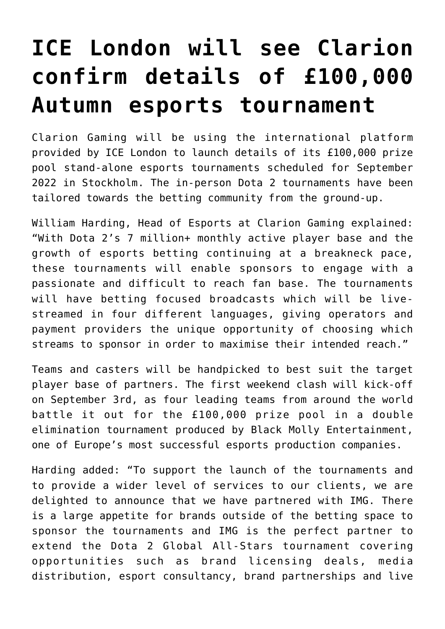## **[ICE London will see Clarion](https://www.isa-guide.de/english-news/articles/268818.html) [confirm details of £100,000](https://www.isa-guide.de/english-news/articles/268818.html) [Autumn esports tournament](https://www.isa-guide.de/english-news/articles/268818.html)**

Clarion Gaming will be using the international platform provided by ICE London to launch details of its £100,000 prize pool stand-alone esports tournaments scheduled for September 2022 in Stockholm. The in-person Dota 2 tournaments have been tailored towards the betting community from the ground-up.

William Harding, Head of Esports at Clarion Gaming explained: "With Dota 2's 7 million+ monthly active player base and the growth of esports betting continuing at a breakneck pace, these tournaments will enable sponsors to engage with a passionate and difficult to reach fan base. The tournaments will have betting focused broadcasts which will be livestreamed in four different languages, giving operators and payment providers the unique opportunity of choosing which streams to sponsor in order to maximise their intended reach."

Teams and casters will be handpicked to best suit the target player base of partners. The first weekend clash will kick-off on September 3rd, as four leading teams from around the world battle it out for the £100,000 prize pool in a double elimination tournament produced by Black Molly Entertainment, one of Europe's most successful esports production companies.

Harding added: "To support the launch of the tournaments and to provide a wider level of services to our clients, we are delighted to announce that we have partnered with IMG. There is a large appetite for brands outside of the betting space to sponsor the tournaments and IMG is the perfect partner to extend the Dota 2 Global All-Stars tournament covering opportunities such as brand licensing deals, media distribution, esport consultancy, brand partnerships and live